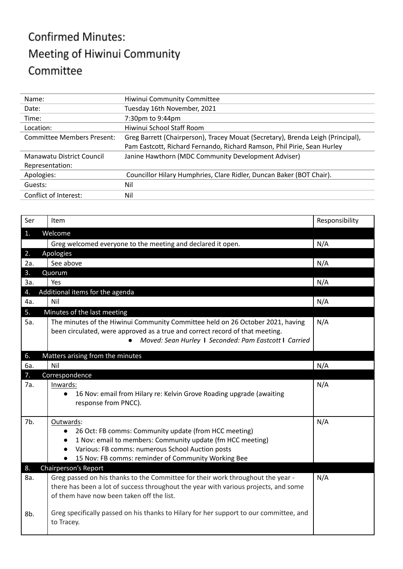## **Confirmed Minutes:** Meeting of Hiwinui Community Committee

| Name:                             | Hiwinui Community Committee                                                     |
|-----------------------------------|---------------------------------------------------------------------------------|
| Date:                             | Tuesday 16th November, 2021                                                     |
| Time:                             | 7:30pm to 9:44pm                                                                |
| Location:                         | Hiwinui School Staff Room                                                       |
| <b>Committee Members Present:</b> | Greg Barrett (Chairperson), Tracey Mouat (Secretary), Brenda Leigh (Principal), |
|                                   | Pam Eastcott, Richard Fernando, Richard Ramson, Phil Pirie, Sean Hurley         |
| Manawatu District Council         | Janine Hawthorn (MDC Community Development Adviser)                             |
| Representation:                   |                                                                                 |
| Apologies:                        | Councillor Hilary Humphries, Clare Ridler, Duncan Baker (BOT Chair).            |
| Guests:                           | Nil                                                                             |
| Conflict of Interest:             | Nil                                                                             |

| Ser | Item                                                                                                                                                                                                                                                                                            | Responsibility |
|-----|-------------------------------------------------------------------------------------------------------------------------------------------------------------------------------------------------------------------------------------------------------------------------------------------------|----------------|
| 1.  | Welcome                                                                                                                                                                                                                                                                                         |                |
|     | Greg welcomed everyone to the meeting and declared it open.                                                                                                                                                                                                                                     | N/A            |
| 2.  | Apologies                                                                                                                                                                                                                                                                                       |                |
| 2a. | See above                                                                                                                                                                                                                                                                                       | N/A            |
| 3.  | Quorum                                                                                                                                                                                                                                                                                          |                |
| За. | Yes                                                                                                                                                                                                                                                                                             | N/A            |
| 4.  | Additional items for the agenda                                                                                                                                                                                                                                                                 |                |
| 4a. | Nil                                                                                                                                                                                                                                                                                             | N/A            |
| 5.  | Minutes of the last meeting                                                                                                                                                                                                                                                                     |                |
| 5a. | The minutes of the Hiwinui Community Committee held on 26 October 2021, having<br>been circulated, were approved as a true and correct record of that meeting.<br>Moved: Sean Hurley 1 Seconded: Pam Eastcott 1 Carried                                                                         | N/A            |
| 6.  | Matters arising from the minutes                                                                                                                                                                                                                                                                |                |
| 6а. | Nil                                                                                                                                                                                                                                                                                             | N/A            |
| 7.  | Correspondence                                                                                                                                                                                                                                                                                  |                |
| 7a. | Inwards:<br>16 Nov: email from Hilary re: Kelvin Grove Roading upgrade (awaiting<br>$\bullet$<br>response from PNCC).                                                                                                                                                                           | N/A            |
| 7b. | Outwards:<br>26 Oct: FB comms: Community update (from HCC meeting)<br>$\bullet$<br>1 Nov: email to members: Community update (fm HCC meeting)<br>$\bullet$<br>Various: FB comms: numerous School Auction posts<br>$\bullet$<br>15 Nov: FB comms: reminder of Community Working Bee<br>$\bullet$ | N/A            |
| 8.  | Chairperson's Report                                                                                                                                                                                                                                                                            |                |
| 8a. | Greg passed on his thanks to the Committee for their work throughout the year -<br>there has been a lot of success throughout the year with various projects, and some<br>of them have now been taken off the list.                                                                             | N/A            |
| 8b. | Greg specifically passed on his thanks to Hilary for her support to our committee, and<br>to Tracey.                                                                                                                                                                                            |                |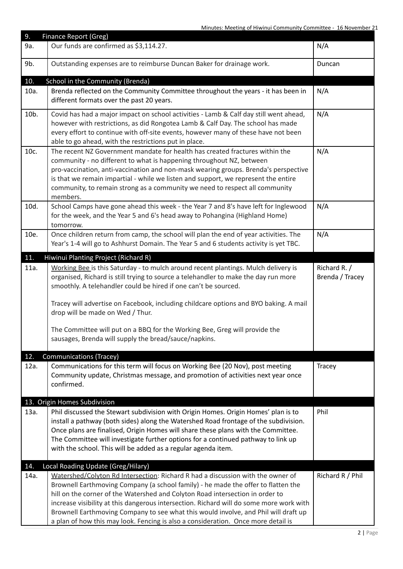| 9.          | Finance Report (Greg)                                                                                                                                                                                                                                                                                                                                                                                                                                                                                                        |                                 |
|-------------|------------------------------------------------------------------------------------------------------------------------------------------------------------------------------------------------------------------------------------------------------------------------------------------------------------------------------------------------------------------------------------------------------------------------------------------------------------------------------------------------------------------------------|---------------------------------|
| 9a.         | Our funds are confirmed as \$3,114.27.                                                                                                                                                                                                                                                                                                                                                                                                                                                                                       | N/A                             |
| 9b.         | Outstanding expenses are to reimburse Duncan Baker for drainage work.                                                                                                                                                                                                                                                                                                                                                                                                                                                        | Duncan                          |
| 10.         | School in the Community (Brenda)                                                                                                                                                                                                                                                                                                                                                                                                                                                                                             |                                 |
| 10a.        | Brenda reflected on the Community Committee throughout the years - it has been in<br>different formats over the past 20 years.                                                                                                                                                                                                                                                                                                                                                                                               | N/A                             |
| 10b.        | Covid has had a major impact on school activities - Lamb & Calf day still went ahead,<br>however with restrictions, as did Rongotea Lamb & Calf Day. The school has made<br>every effort to continue with off-site events, however many of these have not been<br>able to go ahead, with the restrictions put in place.                                                                                                                                                                                                      | N/A                             |
| 10c.        | The recent NZ Government mandate for health has created fractures within the<br>community - no different to what is happening throughout NZ, between<br>pro-vaccination, anti-vaccination and non-mask wearing groups. Brenda's perspective<br>is that we remain impartial - while we listen and support, we represent the entire<br>community, to remain strong as a community we need to respect all community<br>members.                                                                                                 | N/A                             |
| 10d.        | School Camps have gone ahead this week - the Year 7 and 8's have left for Inglewood<br>for the week, and the Year 5 and 6's head away to Pohangina (Highland Home)<br>tomorrow.                                                                                                                                                                                                                                                                                                                                              | N/A                             |
| 10e.        | Once children return from camp, the school will plan the end of year activities. The<br>Year's 1-4 will go to Ashhurst Domain. The Year 5 and 6 students activity is yet TBC.                                                                                                                                                                                                                                                                                                                                                | N/A                             |
| 11.         | Hiwinui Planting Project (Richard R)                                                                                                                                                                                                                                                                                                                                                                                                                                                                                         |                                 |
| 11a.        | Working Bee is this Saturday - to mulch around recent plantings. Mulch delivery is<br>organised, Richard is still trying to source a telehandler to make the day run more<br>smoothly. A telehandler could be hired if one can't be sourced.<br>Tracey will advertise on Facebook, including childcare options and BYO baking. A mail                                                                                                                                                                                        | Richard R. /<br>Brenda / Tracey |
|             | drop will be made on Wed / Thur.<br>The Committee will put on a BBQ for the Working Bee, Greg will provide the<br>sausages, Brenda will supply the bread/sauce/napkins.                                                                                                                                                                                                                                                                                                                                                      |                                 |
| 12.<br>12a. | <b>Communications (Tracey)</b><br>Communications for this term will focus on Working Bee (20 Nov), post meeting<br>Community update, Christmas message, and promotion of activities next year once<br>confirmed.                                                                                                                                                                                                                                                                                                             | Tracey                          |
|             | 13. Origin Homes Subdivision                                                                                                                                                                                                                                                                                                                                                                                                                                                                                                 |                                 |
| 13a.        | Phil discussed the Stewart subdivision with Origin Homes. Origin Homes' plan is to<br>install a pathway (both sides) along the Watershed Road frontage of the subdivision.<br>Once plans are finalised, Origin Homes will share these plans with the Committee.<br>The Committee will investigate further options for a continued pathway to link up<br>with the school. This will be added as a regular agenda item.                                                                                                        | Phil                            |
| 14.         | Local Roading Update (Greg/Hilary)                                                                                                                                                                                                                                                                                                                                                                                                                                                                                           |                                 |
| 14a.        | Watershed/Colyton Rd Intersection: Richard R had a discussion with the owner of<br>Brownell Earthmoving Company (a school family) - he made the offer to flatten the<br>hill on the corner of the Watershed and Colyton Road intersection in order to<br>increase visibility at this dangerous intersection. Richard will do some more work with<br>Brownell Earthmoving Company to see what this would involve, and Phil will draft up<br>a plan of how this may look. Fencing is also a consideration. Once more detail is | Richard R / Phil                |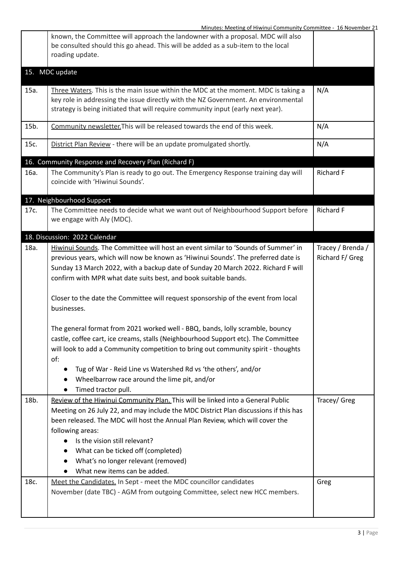|      | Minutes: Meeting of Hiwinui Community Committee - 16 November 21                                                                                                                                                                                                                                                                                                                                                                        |                                      |
|------|-----------------------------------------------------------------------------------------------------------------------------------------------------------------------------------------------------------------------------------------------------------------------------------------------------------------------------------------------------------------------------------------------------------------------------------------|--------------------------------------|
|      | known, the Committee will approach the landowner with a proposal. MDC will also<br>be consulted should this go ahead. This will be added as a sub-item to the local<br>roading update.                                                                                                                                                                                                                                                  |                                      |
|      | 15. MDC update                                                                                                                                                                                                                                                                                                                                                                                                                          |                                      |
| 15a. | Three Waters. This is the main issue within the MDC at the moment. MDC is taking a<br>key role in addressing the issue directly with the NZ Government. An environmental<br>strategy is being initiated that will require community input (early next year).                                                                                                                                                                            | N/A                                  |
| 15b. | Community newsletter. This will be released towards the end of this week.                                                                                                                                                                                                                                                                                                                                                               | N/A                                  |
| 15c. | District Plan Review - there will be an update promulgated shortly.                                                                                                                                                                                                                                                                                                                                                                     | N/A                                  |
|      | 16. Community Response and Recovery Plan (Richard F)                                                                                                                                                                                                                                                                                                                                                                                    |                                      |
| 16a. | The Community's Plan is ready to go out. The Emergency Response training day will<br>coincide with 'Hiwinui Sounds'.                                                                                                                                                                                                                                                                                                                    | <b>Richard F</b>                     |
|      | 17. Neighbourhood Support                                                                                                                                                                                                                                                                                                                                                                                                               |                                      |
| 17c. | The Committee needs to decide what we want out of Neighbourhood Support before<br>we engage with Aly (MDC).                                                                                                                                                                                                                                                                                                                             | Richard F                            |
|      | 18. Discussion: 2022 Calendar                                                                                                                                                                                                                                                                                                                                                                                                           |                                      |
| 18a. | Hiwinui Sounds. The Committee will host an event similar to 'Sounds of Summer' in<br>previous years, which will now be known as 'Hiwinui Sounds'. The preferred date is<br>Sunday 13 March 2022, with a backup date of Sunday 20 March 2022. Richard F will<br>confirm with MPR what date suits best, and book suitable bands.<br>Closer to the date the Committee will request sponsorship of the event from local                     | Tracey / Brenda /<br>Richard F/ Greg |
|      | businesses.<br>The general format from 2021 worked well - BBQ, bands, lolly scramble, bouncy<br>castle, coffee cart, ice creams, stalls (Neighbourhood Support etc). The Committee<br>will look to add a Community competition to bring out community spirit - thoughts<br>of:<br>Tug of War - Reid Line vs Watershed Rd vs 'the others', and/or<br>Wheelbarrow race around the lime pit, and/or<br>Timed tractor pull.                 |                                      |
| 18b. | Review of the Hiwinui Community Plan. This will be linked into a General Public<br>Meeting on 26 July 22, and may include the MDC District Plan discussions if this has<br>been released. The MDC will host the Annual Plan Review, which will cover the<br>following areas:<br>Is the vision still relevant?<br>What can be ticked off (completed)<br>$\bullet$<br>What's no longer relevant (removed)<br>What new items can be added. | Tracey/ Greg                         |
| 18c. | Meet the Candidates. In Sept - meet the MDC councillor candidates<br>November (date TBC) - AGM from outgoing Committee, select new HCC members.                                                                                                                                                                                                                                                                                         | Greg                                 |